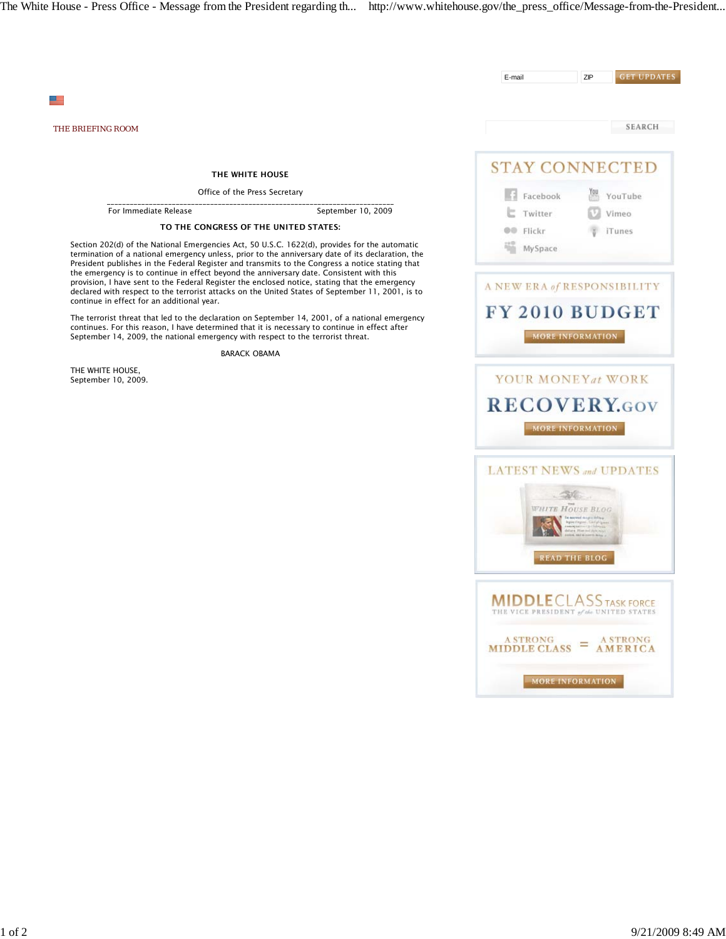The White House - Press Office - Message from the President regarding th... http://www.whitehouse.gov/the\_press\_office/Message-from-the-President...



MORE INFORMATION